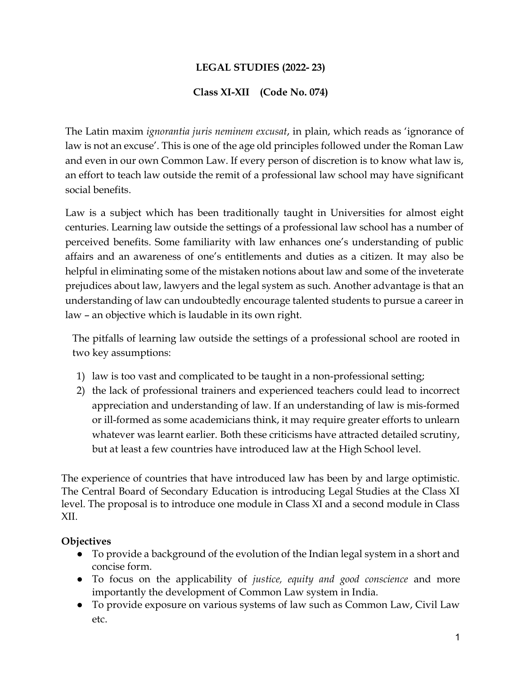# LEGAL STUDIES (2022- 23)

#### Class XI-XII (Code No. 074)

The Latin maxim ignorantia juris neminem excusat, in plain, which reads as 'ignorance of law is not an excuse'. This is one of the age old principles followed under the Roman Law and even in our own Common Law. If every person of discretion is to know what law is, an effort to teach law outside the remit of a professional law school may have significant social benefits.

Law is a subject which has been traditionally taught in Universities for almost eight centuries. Learning law outside the settings of a professional law school has a number of perceived benefits. Some familiarity with law enhances one's understanding of public affairs and an awareness of one's entitlements and duties as a citizen. It may also be helpful in eliminating some of the mistaken notions about law and some of the inveterate prejudices about law, lawyers and the legal system as such. Another advantage is that an understanding of law can undoubtedly encourage talented students to pursue a career in law – an objective which is laudable in its own right.

The pitfalls of learning law outside the settings of a professional school are rooted in two key assumptions:

- 1) law is too vast and complicated to be taught in a non-professional setting;
- 2) the lack of professional trainers and experienced teachers could lead to incorrect appreciation and understanding of law. If an understanding of law is mis-formed or ill-formed as some academicians think, it may require greater efforts to unlearn whatever was learnt earlier. Both these criticisms have attracted detailed scrutiny, but at least a few countries have introduced law at the High School level.

The experience of countries that have introduced law has been by and large optimistic. The Central Board of Secondary Education is introducing Legal Studies at the Class XI level. The proposal is to introduce one module in Class XI and a second module in Class XII.

#### **Objectives**

- To provide a background of the evolution of the Indian legal system in a short and concise form.
- To focus on the applicability of *justice*, equity and good conscience and more importantly the development of Common Law system in India.
- To provide exposure on various systems of law such as Common Law, Civil Law etc.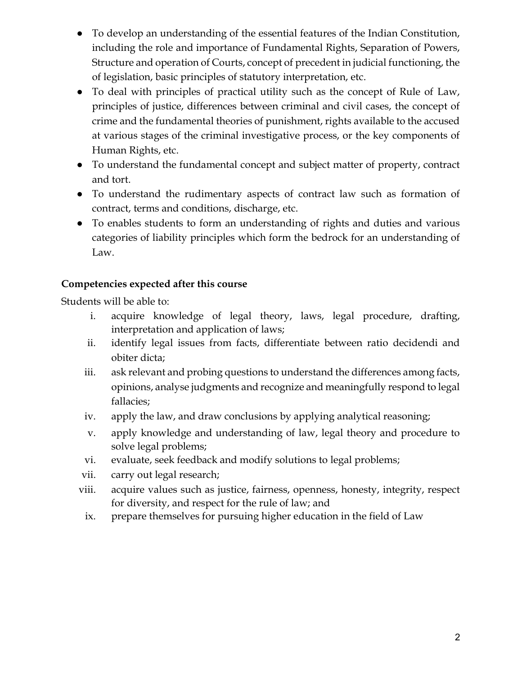- To develop an understanding of the essential features of the Indian Constitution, including the role and importance of Fundamental Rights, Separation of Powers, Structure and operation of Courts, concept of precedent in judicial functioning, the of legislation, basic principles of statutory interpretation, etc.
- To deal with principles of practical utility such as the concept of Rule of Law, principles of justice, differences between criminal and civil cases, the concept of crime and the fundamental theories of punishment, rights available to the accused at various stages of the criminal investigative process, or the key components of Human Rights, etc.
- To understand the fundamental concept and subject matter of property, contract and tort.
- To understand the rudimentary aspects of contract law such as formation of contract, terms and conditions, discharge, etc.
- To enables students to form an understanding of rights and duties and various categories of liability principles which form the bedrock for an understanding of Law.

# Competencies expected after this course

Students will be able to:

- i. acquire knowledge of legal theory, laws, legal procedure, drafting, interpretation and application of laws;
- ii. identify legal issues from facts, differentiate between ratio decidendi and obiter dicta;
- iii. ask relevant and probing questions to understand the differences among facts, opinions, analyse judgments and recognize and meaningfully respond to legal fallacies;
- iv. apply the law, and draw conclusions by applying analytical reasoning;
- v. apply knowledge and understanding of law, legal theory and procedure to solve legal problems;
- vi. evaluate, seek feedback and modify solutions to legal problems;
- vii. carry out legal research;
- viii. acquire values such as justice, fairness, openness, honesty, integrity, respect for diversity, and respect for the rule of law; and
	- ix. prepare themselves for pursuing higher education in the field of Law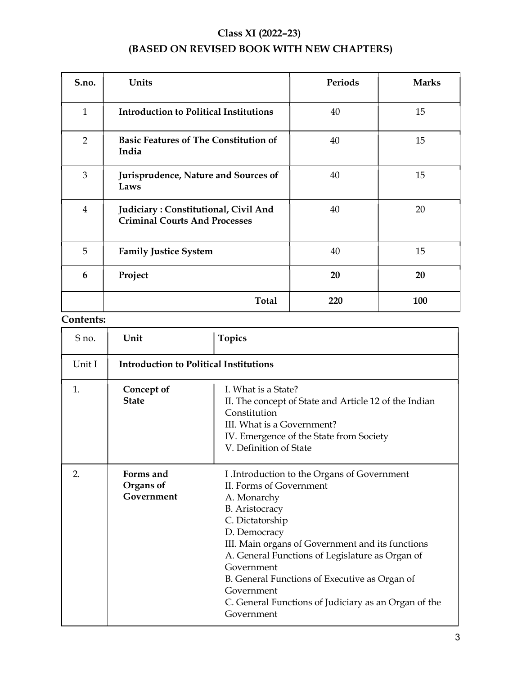# Class XI (2022–23)

# (BASED ON REVISED BOOK WITH NEW CHAPTERS)

| S.no.          | Units                                                                        | Periods | <b>Marks</b> |
|----------------|------------------------------------------------------------------------------|---------|--------------|
| $\mathbf{1}$   | <b>Introduction to Political Institutions</b>                                | 40      | 15           |
| $\overline{2}$ | <b>Basic Features of The Constitution of</b><br>India                        | 40      | 15           |
| 3              | Jurisprudence, Nature and Sources of<br>Laws                                 | 40      | 15           |
| $\overline{4}$ | Judiciary: Constitutional, Civil And<br><b>Criminal Courts And Processes</b> | 40      | 20           |
| 5              | <b>Family Justice System</b>                                                 | 40      | 15           |
| 6              | Project                                                                      | 20      | 20           |
|                | <b>Total</b>                                                                 | 220     | 100          |

# Contents:

| S no.          | Unit                                          | <b>Topics</b>                                                                                                                                                                                                                                                                                                                                                                                               |
|----------------|-----------------------------------------------|-------------------------------------------------------------------------------------------------------------------------------------------------------------------------------------------------------------------------------------------------------------------------------------------------------------------------------------------------------------------------------------------------------------|
| Unit I         | <b>Introduction to Political Institutions</b> |                                                                                                                                                                                                                                                                                                                                                                                                             |
| $\mathbf{1}$ . | Concept of<br><b>State</b>                    | I. What is a State?<br>II. The concept of State and Article 12 of the Indian<br>Constitution<br>III. What is a Government?<br>IV. Emergence of the State from Society<br>V. Definition of State                                                                                                                                                                                                             |
| 2.             | Forms and<br>Organs of<br>Government          | I .Introduction to the Organs of Government<br>II. Forms of Government<br>A. Monarchy<br><b>B.</b> Aristocracy<br>C. Dictatorship<br>D. Democracy<br>III. Main organs of Government and its functions<br>A. General Functions of Legislature as Organ of<br>Government<br>B. General Functions of Executive as Organ of<br>Government<br>C. General Functions of Judiciary as an Organ of the<br>Government |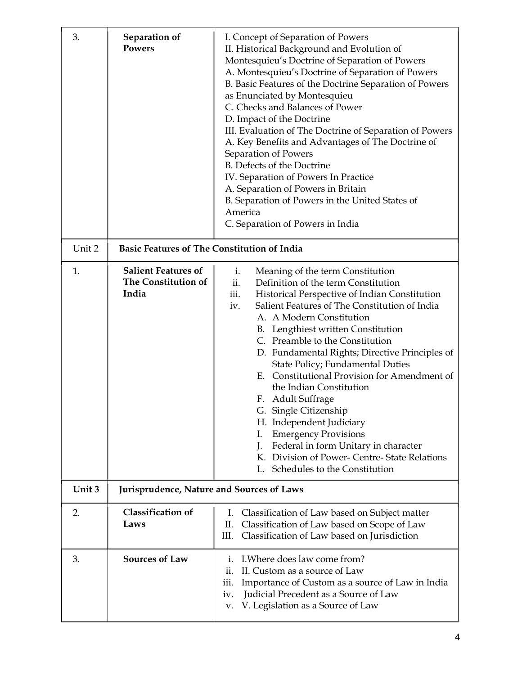| 3.     | Separation of<br><b>Powers</b>                             | I. Concept of Separation of Powers<br>II. Historical Background and Evolution of<br>Montesquieu's Doctrine of Separation of Powers<br>A. Montesquieu's Doctrine of Separation of Powers<br>B. Basic Features of the Doctrine Separation of Powers<br>as Enunciated by Montesquieu<br>C. Checks and Balances of Power<br>D. Impact of the Doctrine<br>III. Evaluation of The Doctrine of Separation of Powers<br>A. Key Benefits and Advantages of The Doctrine of<br>Separation of Powers<br>B. Defects of the Doctrine<br>IV. Separation of Powers In Practice<br>A. Separation of Powers in Britain<br>B. Separation of Powers in the United States of<br>America<br>C. Separation of Powers in India                         |  |  |
|--------|------------------------------------------------------------|---------------------------------------------------------------------------------------------------------------------------------------------------------------------------------------------------------------------------------------------------------------------------------------------------------------------------------------------------------------------------------------------------------------------------------------------------------------------------------------------------------------------------------------------------------------------------------------------------------------------------------------------------------------------------------------------------------------------------------|--|--|
| Unit 2 | <b>Basic Features of The Constitution of India</b>         |                                                                                                                                                                                                                                                                                                                                                                                                                                                                                                                                                                                                                                                                                                                                 |  |  |
| 1.     | <b>Salient Features of</b><br>The Constitution of<br>India | Meaning of the term Constitution<br>i.<br>ii.<br>Definition of the term Constitution<br>iii.<br>Historical Perspective of Indian Constitution<br>Salient Features of The Constitution of India<br>iv.<br>A. A Modern Constitution<br>B. Lengthiest written Constitution<br>C. Preamble to the Constitution<br>D. Fundamental Rights; Directive Principles of<br>State Policy; Fundamental Duties<br>E. Constitutional Provision for Amendment of<br>the Indian Constitution<br>F. Adult Suffrage<br>G. Single Citizenship<br>H. Independent Judiciary<br><b>Emergency Provisions</b><br>I.<br>Federal in form Unitary in character<br>J.<br>K. Division of Power- Centre-State Relations<br>Schedules to the Constitution<br>L. |  |  |
| Unit 3 | Jurisprudence, Nature and Sources of Laws                  |                                                                                                                                                                                                                                                                                                                                                                                                                                                                                                                                                                                                                                                                                                                                 |  |  |
| 2.     | <b>Classification of</b><br>Laws                           | I. Classification of Law based on Subject matter<br>Classification of Law based on Scope of Law<br>П.<br>Classification of Law based on Jurisdiction<br>Ш.                                                                                                                                                                                                                                                                                                                                                                                                                                                                                                                                                                      |  |  |
| 3.     | <b>Sources of Law</b>                                      | I. Where does law come from?<br>i.<br>II. Custom as a source of Law<br>ii.<br>Importance of Custom as a source of Law in India<br>iii.<br>Judicial Precedent as a Source of Law<br>iv.<br>v. V. Legislation as a Source of Law                                                                                                                                                                                                                                                                                                                                                                                                                                                                                                  |  |  |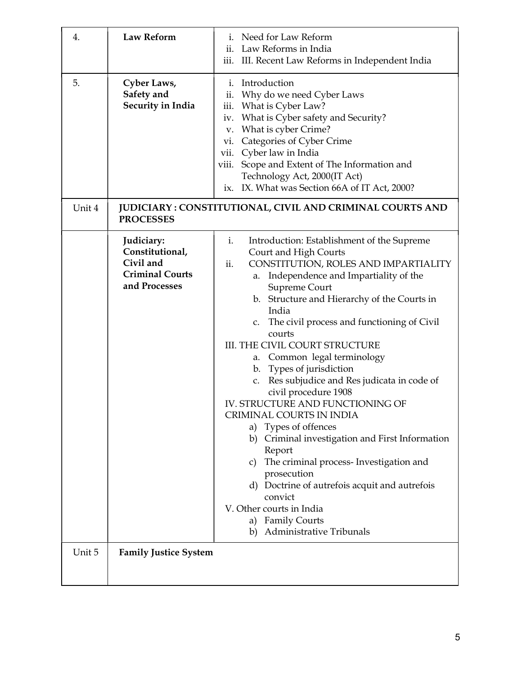| 4.           | <b>Law Reform</b>                                                                     | i. Need for Law Reform<br>ii. Law Reforms in India<br>iii. III. Recent Law Reforms in Independent India                                                                                                                                                                                                                                                                                                                                                                                                                                                                                                                                                                                                                                                                                                                                                                     |
|--------------|---------------------------------------------------------------------------------------|-----------------------------------------------------------------------------------------------------------------------------------------------------------------------------------------------------------------------------------------------------------------------------------------------------------------------------------------------------------------------------------------------------------------------------------------------------------------------------------------------------------------------------------------------------------------------------------------------------------------------------------------------------------------------------------------------------------------------------------------------------------------------------------------------------------------------------------------------------------------------------|
| 5.<br>Unit 4 | Cyber Laws,<br>Safety and<br>Security in India                                        | i. Introduction<br>Why do we need Cyber Laws<br>ii.<br>What is Cyber Law?<br>iii.<br>What is Cyber safety and Security?<br>iv.<br>What is cyber Crime?<br>v.<br>Categories of Cyber Crime<br>vi.<br>Cyber law in India<br>vii.<br>Scope and Extent of The Information and<br>viii.<br>Technology Act, 2000(IT Act)<br>ix. IX. What was Section 66A of IT Act, 2000?<br>JUDICIARY: CONSTITUTIONAL, CIVIL AND CRIMINAL COURTS AND                                                                                                                                                                                                                                                                                                                                                                                                                                             |
|              | <b>PROCESSES</b>                                                                      |                                                                                                                                                                                                                                                                                                                                                                                                                                                                                                                                                                                                                                                                                                                                                                                                                                                                             |
|              | Judiciary:<br>Constitutional,<br>Civil and<br><b>Criminal Courts</b><br>and Processes | i.<br>Introduction: Establishment of the Supreme<br>Court and High Courts<br>ii.<br>CONSTITUTION, ROLES AND IMPARTIALITY<br>Independence and Impartiality of the<br>а.<br>Supreme Court<br>b. Structure and Hierarchy of the Courts in<br>India<br>c. The civil process and functioning of Civil<br>courts<br>III. THE CIVIL COURT STRUCTURE<br>Common legal terminology<br>а.<br>b. Types of jurisdiction<br>Res subjudice and Res judicata in code of<br>C <sub>1</sub><br>civil procedure 1908<br>IV. STRUCTURE AND FUNCTIONING OF<br>CRIMINAL COURTS IN INDIA<br>a) Types of offences<br>b) Criminal investigation and First Information<br>Report<br>The criminal process- Investigation and<br>C)<br>prosecution<br>d) Doctrine of autrefois acquit and autrefois<br>convict<br>V. Other courts in India<br>a) Family Courts<br><b>Administrative Tribunals</b><br>b) |
| Unit 5       | <b>Family Justice System</b>                                                          |                                                                                                                                                                                                                                                                                                                                                                                                                                                                                                                                                                                                                                                                                                                                                                                                                                                                             |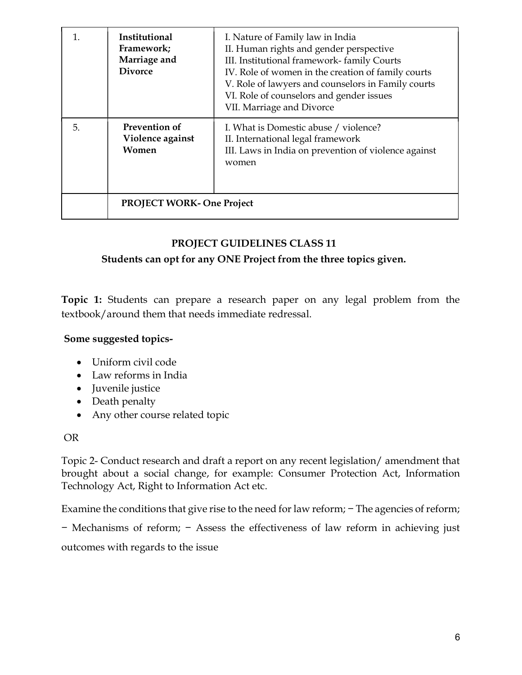| $\mathbf 1$ | Institutional<br>Framework;<br>Marriage and<br><b>Divorce</b> | I. Nature of Family law in India<br>II. Human rights and gender perspective<br>III. Institutional framework-family Courts<br>IV. Role of women in the creation of family courts<br>V. Role of lawyers and counselors in Family courts<br>VI. Role of counselors and gender issues<br>VII. Marriage and Divorce |
|-------------|---------------------------------------------------------------|----------------------------------------------------------------------------------------------------------------------------------------------------------------------------------------------------------------------------------------------------------------------------------------------------------------|
| 5.          | <b>Prevention of</b><br>Violence against<br>Women             | I. What is Domestic abuse / violence?<br>II. International legal framework<br>III. Laws in India on prevention of violence against<br>women                                                                                                                                                                    |
|             | <b>PROJECT WORK- One Project</b>                              |                                                                                                                                                                                                                                                                                                                |

# PROJECT GUIDELINES CLASS 11

#### Students can opt for any ONE Project from the three topics given.

Topic 1: Students can prepare a research paper on any legal problem from the textbook/around them that needs immediate redressal.

#### Some suggested topics-

- Uniform civil code
- Law reforms in India
- Juvenile justice
- Death penalty
- Any other course related topic

#### OR

Topic 2- Conduct research and draft a report on any recent legislation/ amendment that brought about a social change, for example: Consumer Protection Act, Information Technology Act, Right to Information Act etc.

Examine the conditions that give rise to the need for law reform; − The agencies of reform;

− Mechanisms of reform; − Assess the effectiveness of law reform in achieving just

outcomes with regards to the issue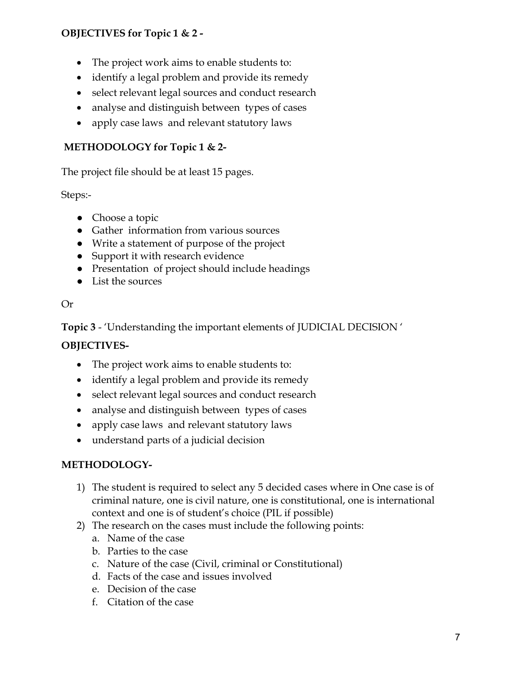# OBJECTIVES for Topic 1 & 2 -

- The project work aims to enable students to:
- identify a legal problem and provide its remedy
- select relevant legal sources and conduct research
- analyse and distinguish between types of cases
- apply case laws and relevant statutory laws

# METHODOLOGY for Topic 1 & 2-

The project file should be at least 15 pages.

Steps:-

- Choose a topic
- Gather information from various sources
- Write a statement of purpose of the project
- Support it with research evidence
- Presentation of project should include headings
- List the sources

#### Or

Topic 3 - 'Understanding the important elements of JUDICIAL DECISION '

#### OBJECTIVES-

- The project work aims to enable students to:
- identify a legal problem and provide its remedy
- select relevant legal sources and conduct research
- analyse and distinguish between types of cases
- apply case laws and relevant statutory laws
- understand parts of a judicial decision

# METHODOLOGY-

- 1) The student is required to select any 5 decided cases where in One case is of criminal nature, one is civil nature, one is constitutional, one is international context and one is of student's choice (PIL if possible)
- 2) The research on the cases must include the following points:
	- a. Name of the case
	- b. Parties to the case
	- c. Nature of the case (Civil, criminal or Constitutional)
	- d. Facts of the case and issues involved
	- e. Decision of the case
	- f. Citation of the case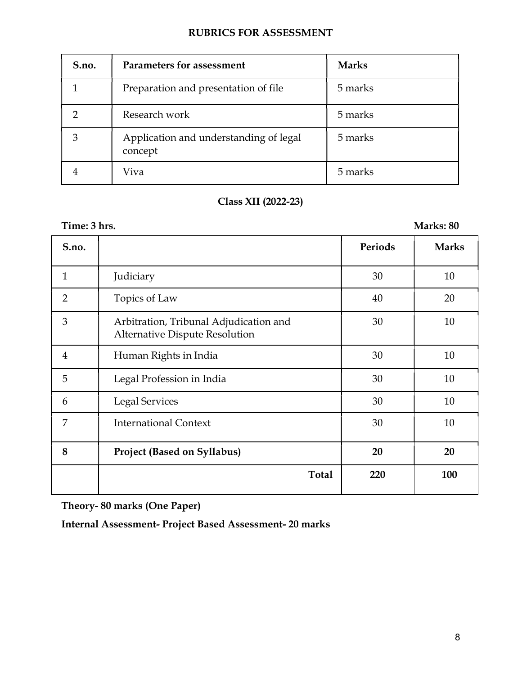| S.no. | Parameters for assessment                         | <b>Marks</b> |
|-------|---------------------------------------------------|--------------|
|       | Preparation and presentation of file              | 5 marks      |
|       | Research work                                     | 5 marks      |
| 3     | Application and understanding of legal<br>concept | 5 marks      |
|       | Viva                                              | 5 marks      |

# Class XII (2022-23)

| Time: 3 hrs.   |                                                                                 |         | Marks: 80    |
|----------------|---------------------------------------------------------------------------------|---------|--------------|
| S.no.          |                                                                                 | Periods | <b>Marks</b> |
| $\mathbf{1}$   | Judiciary                                                                       | 30      | 10           |
| $\overline{2}$ | Topics of Law                                                                   | 40      | 20           |
| 3              | Arbitration, Tribunal Adjudication and<br><b>Alternative Dispute Resolution</b> | 30      | 10           |
| $\overline{4}$ | Human Rights in India                                                           | 30      | 10           |
| 5              | Legal Profession in India                                                       | 30      | 10           |
| 6              | <b>Legal Services</b>                                                           | 30      | 10           |
| 7              | <b>International Context</b>                                                    | 30      | 10           |
| 8              | <b>Project (Based on Syllabus)</b>                                              | 20      | 20           |
|                | <b>Total</b>                                                                    | 220     | 100          |

Theory- 80 marks (One Paper)

Internal Assessment- Project Based Assessment- 20 marks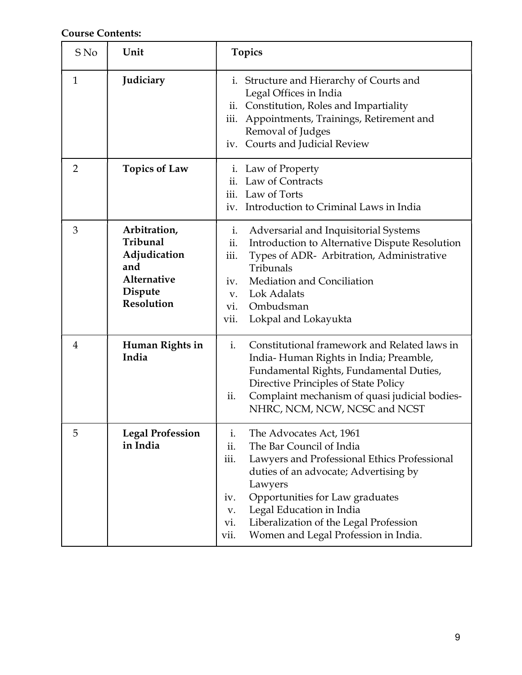Course Contents:

| S No           | Unit                                                                                           | <b>Topics</b>                                                                                                                                                                                                                                                                                                                                             |
|----------------|------------------------------------------------------------------------------------------------|-----------------------------------------------------------------------------------------------------------------------------------------------------------------------------------------------------------------------------------------------------------------------------------------------------------------------------------------------------------|
| 1              | Judiciary                                                                                      | i. Structure and Hierarchy of Courts and<br>Legal Offices in India<br>ii. Constitution, Roles and Impartiality<br>Appointments, Trainings, Retirement and<br>iii.<br>Removal of Judges<br>iv. Courts and Judicial Review                                                                                                                                  |
| $\overline{2}$ | <b>Topics of Law</b>                                                                           | i. Law of Property<br>ii. Law of Contracts<br>iii. Law of Torts<br>iv. Introduction to Criminal Laws in India                                                                                                                                                                                                                                             |
| 3              | Arbitration,<br>Tribunal<br>Adjudication<br>and<br>Alternative<br>Dispute<br><b>Resolution</b> | Adversarial and Inquisitorial Systems<br>$i$ .<br>ii.<br>Introduction to Alternative Dispute Resolution<br>iii.<br>Types of ADR- Arbitration, Administrative<br>Tribunals<br>Mediation and Conciliation<br>iv.<br>Lok Adalats<br>$V_{\star}$<br>Ombudsman<br>vi.<br>Lokpal and Lokayukta<br>vii.                                                          |
| $\overline{4}$ | Human Rights in<br>India                                                                       | Constitutional framework and Related laws in<br>i.<br>India-Human Rights in India; Preamble,<br>Fundamental Rights, Fundamental Duties,<br>Directive Principles of State Policy<br>Complaint mechanism of quasi judicial bodies-<br>ii.<br>NHRC, NCM, NCW, NCSC and NCST                                                                                  |
| 5              | <b>Legal Profession</b><br>in India                                                            | The Advocates Act, 1961<br>i.<br>The Bar Council of India<br>ii.<br>iii.<br>Lawyers and Professional Ethics Professional<br>duties of an advocate; Advertising by<br>Lawyers<br>Opportunities for Law graduates<br>iv.<br>Legal Education in India<br>V.<br>Liberalization of the Legal Profession<br>vi.<br>Women and Legal Profession in India.<br>vii. |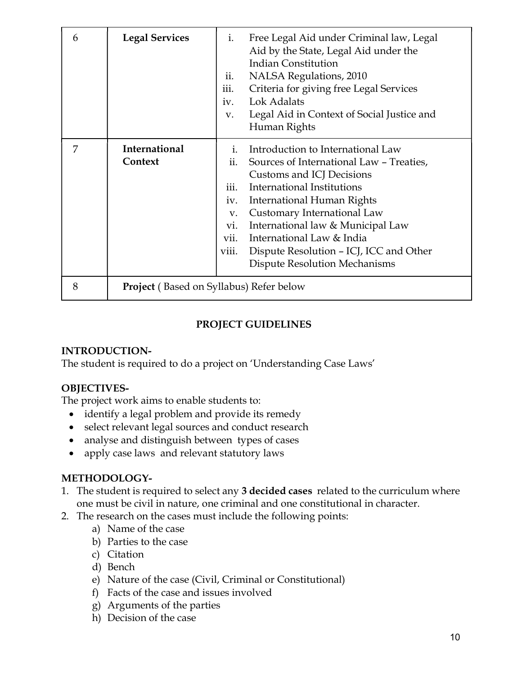| 6 | <b>Legal Services</b>                          | Free Legal Aid under Criminal law, Legal<br>$i$ .<br>Aid by the State, Legal Aid under the<br><b>Indian Constitution</b><br>NALSA Regulations, 2010<br>ii.<br>Criteria for giving free Legal Services<br>iii.<br>iv. Lok Adalats<br>Legal Aid in Context of Social Justice and<br>V.<br>Human Rights                                                                                                                             |  |
|---|------------------------------------------------|----------------------------------------------------------------------------------------------------------------------------------------------------------------------------------------------------------------------------------------------------------------------------------------------------------------------------------------------------------------------------------------------------------------------------------|--|
| 7 | International<br>Context                       | Introduction to International Law<br>$\mathbf{i}$ .<br>Sources of International Law - Treaties,<br>11.<br>Customs and ICJ Decisions<br>International Institutions<br>iii.<br>International Human Rights<br>iv.<br>Customary International Law<br>V.<br>International law & Municipal Law<br>vi.<br>vii.<br>International Law & India<br>viii.<br>Dispute Resolution - ICJ, ICC and Other<br><b>Dispute Resolution Mechanisms</b> |  |
| 8 | <b>Project</b> (Based on Syllabus) Refer below |                                                                                                                                                                                                                                                                                                                                                                                                                                  |  |

# PROJECT GUIDELINES

#### INTRODUCTION-

The student is required to do a project on 'Understanding Case Laws'

#### OBJECTIVES-

The project work aims to enable students to:

- identify a legal problem and provide its remedy
- select relevant legal sources and conduct research
- analyse and distinguish between types of cases
- apply case laws and relevant statutory laws

#### METHODOLOGY-

- 1. The student is required to select any 3 decided cases related to the curriculum where one must be civil in nature, one criminal and one constitutional in character.
- 2. The research on the cases must include the following points:
	- a) Name of the case
	- b) Parties to the case
	- c) Citation
	- d) Bench
	- e) Nature of the case (Civil, Criminal or Constitutional)
	- f) Facts of the case and issues involved
	- g) Arguments of the parties
	- h) Decision of the case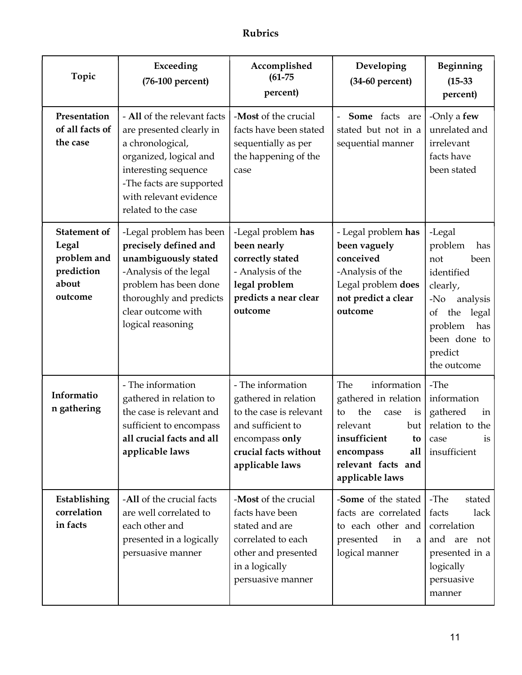# Rubrics

| Topic                                                                         | Exceeding<br>(76-100 percent)                                                                                                                                                                              | Accomplished<br>$(61 - 75)$<br>percent)                                                                                                                 | Developing<br>$(34-60$ percent)                                                                                                                                             | Beginning<br>$(15-33)$<br>percent)                                                                                                                                       |
|-------------------------------------------------------------------------------|------------------------------------------------------------------------------------------------------------------------------------------------------------------------------------------------------------|---------------------------------------------------------------------------------------------------------------------------------------------------------|-----------------------------------------------------------------------------------------------------------------------------------------------------------------------------|--------------------------------------------------------------------------------------------------------------------------------------------------------------------------|
| Presentation<br>of all facts of<br>the case                                   | - All of the relevant facts<br>are presented clearly in<br>a chronological,<br>organized, logical and<br>interesting sequence<br>-The facts are supported<br>with relevant evidence<br>related to the case | -Most of the crucial<br>facts have been stated<br>sequentially as per<br>the happening of the<br>case                                                   | Some facts<br>are<br>stated but not in a<br>sequential manner                                                                                                               | -Only a few<br>unrelated and<br>irrelevant<br>facts have<br>been stated                                                                                                  |
| <b>Statement of</b><br>Legal<br>problem and<br>prediction<br>about<br>outcome | -Legal problem has been<br>precisely defined and<br>unambiguously stated<br>-Analysis of the legal<br>problem has been done<br>thoroughly and predicts<br>clear outcome with<br>logical reasoning          | -Legal problem has<br>been nearly<br>correctly stated<br>- Analysis of the<br>legal problem<br>predicts a near clear<br>outcome                         | - Legal problem has<br>been vaguely<br>conceived<br>-Analysis of the<br>Legal problem does<br>not predict a clear<br>outcome                                                | -Legal<br>problem<br>has<br>not<br>been<br>identified<br>clearly,<br>$-N0$<br>analysis<br>the<br>legal<br>of<br>problem<br>has<br>been done to<br>predict<br>the outcome |
| Informatio<br>n gathering                                                     | - The information<br>gathered in relation to<br>the case is relevant and<br>sufficient to encompass<br>all crucial facts and all<br>applicable laws                                                        | - The information<br>gathered in relation<br>to the case is relevant<br>and sufficient to<br>encompass only<br>crucial facts without<br>applicable laws | The<br>information<br>gathered in relation<br>the<br>to<br>case<br>is<br>relevant<br>but<br>insufficient<br>to<br>all<br>encompass<br>relevant facts and<br>applicable laws | -The<br>information<br>gathered<br>in<br>relation to the<br>is<br>case<br>insufficient                                                                                   |
| Establishing<br>correlation<br>in facts                                       | -All of the crucial facts<br>are well correlated to<br>each other and<br>presented in a logically<br>persuasive manner                                                                                     | -Most of the crucial<br>facts have been<br>stated and are<br>correlated to each<br>other and presented<br>in a logically<br>persuasive manner           | -Some of the stated<br>facts are correlated<br>to each other and<br>presented<br>in<br>a<br>logical manner                                                                  | -The<br>stated<br>facts<br>lack<br>correlation<br>and are not<br>presented in a<br>logically<br>persuasive<br>manner                                                     |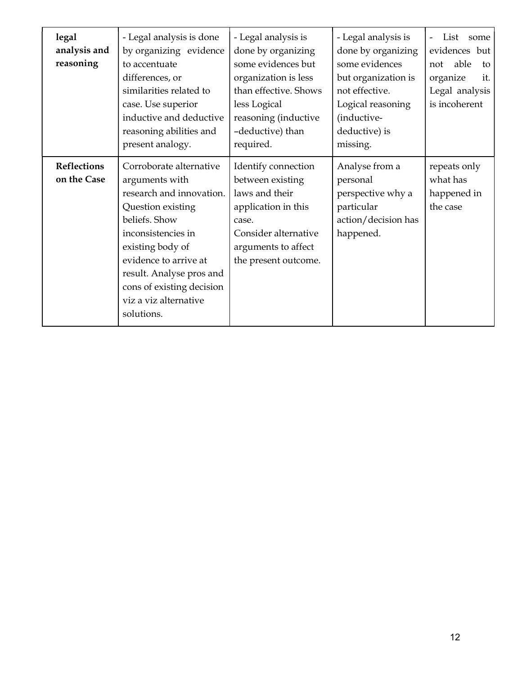| legal<br>analysis and<br>reasoning | - Legal analysis is done<br>by organizing evidence<br>to accentuate<br>differences, or<br>similarities related to<br>case. Use superior<br>inductive and deductive<br>reasoning abilities and<br>present analogy.                                                              | - Legal analysis is<br>done by organizing<br>some evidences but<br>organization is less<br>than effective. Shows<br>less Logical<br>reasoning (inductive<br>-deductive) than<br>required. | - Legal analysis is<br>done by organizing<br>some evidences<br>but organization is<br>not effective.<br>Logical reasoning<br>(inductive-<br>deductive) is<br>missing. | List<br>some<br>evidences but<br>able<br>not<br>to<br>organize<br>it.<br>Legal analysis<br>is incoherent |
|------------------------------------|--------------------------------------------------------------------------------------------------------------------------------------------------------------------------------------------------------------------------------------------------------------------------------|-------------------------------------------------------------------------------------------------------------------------------------------------------------------------------------------|-----------------------------------------------------------------------------------------------------------------------------------------------------------------------|----------------------------------------------------------------------------------------------------------|
| Reflections<br>on the Case         | Corroborate alternative<br>arguments with<br>research and innovation.<br>Question existing<br>beliefs. Show<br>inconsistencies in<br>existing body of<br>evidence to arrive at<br>result. Analyse pros and<br>cons of existing decision<br>viz a viz alternative<br>solutions. | Identify connection<br>between existing<br>laws and their<br>application in this<br>case.<br>Consider alternative<br>arguments to affect<br>the present outcome.                          | Analyse from a<br>personal<br>perspective why a<br>particular<br>action/decision has<br>happened.                                                                     | repeats only<br>what has<br>happened in<br>the case                                                      |